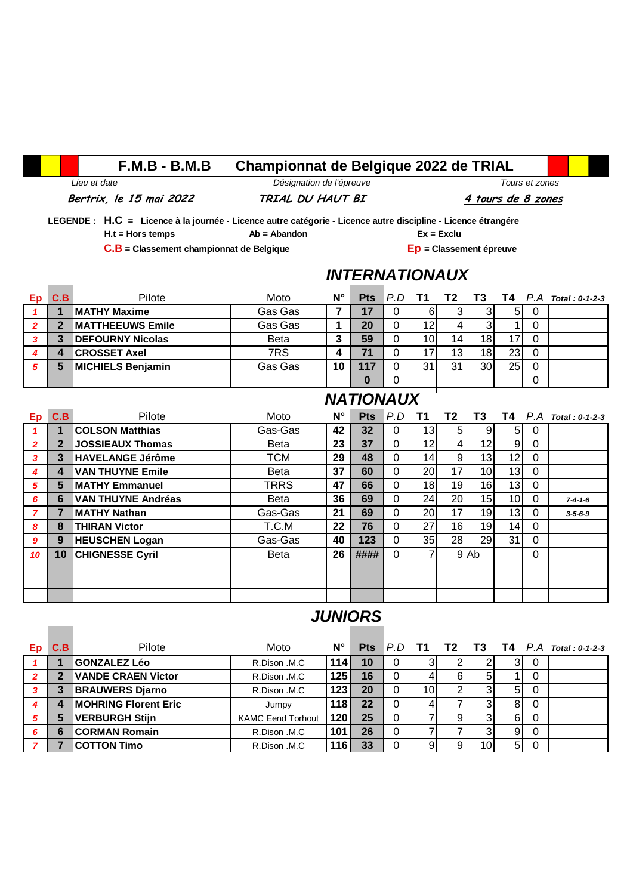## **F.M.B - B.M.B Championnat de Belgique 2022 de TRIAL**

## *Lieu et date Désignation de l'épreuve Tours et zones*

Bertrix, le 15 mai 2022 **TRIAL DU HAUT BI** 4 tours de 8 zones

 **LEGENDE : H.C = Licence à la journée - Licence autre catégorie - Licence autre discipline - Licence étrangére H.t = Hors temps Ab = Abandon Ex = Exclu** 

 **C.B = Classement championnat de Belgique Ep = Classement épreuve**

#### *INTERNATIONAUX*

| C.B | Pilote                   | Moto        | $N^{\circ}$ |     |                 |    |    |                 | Pts P.D T1 T2 T3 T4 P.A Total: 0-1-2-3 |
|-----|--------------------------|-------------|-------------|-----|-----------------|----|----|-----------------|----------------------------------------|
|     | <b>IMATHY Maxime</b>     | Gas Gas     |             |     | 6               |    |    | 51              |                                        |
|     | <b>IMATTHEEUWS Emile</b> | Gas Gas     |             | 20  | 12              |    |    |                 |                                        |
|     | <b>DEFOURNY Nicolas</b>  | <b>Beta</b> | י           | 59  | 10 <sub>1</sub> | 14 | 18 |                 |                                        |
| 4   | <b>CROSSET Axel</b>      | 7RS         |             | 71  |                 | 13 | 18 | 23 <sub>l</sub> |                                        |
| 5   | <b>MICHIELS Benjamin</b> | Gas Gas     | 10          | 117 | 31              | 31 | 30 | 25 <sub>1</sub> |                                        |
|     |                          |             |             |     |                 |    |    |                 |                                        |

#### *NATIONAUX*

| Ep             | C.B | Pilote                    | Moto        | $N^{\circ}$ | <b>Pts</b> | $P.D$ T1 |                 | T2 | <b>T3</b>       |                 |          | <b>T4</b> $P.A$ Total : 0-1-2-3 |
|----------------|-----|---------------------------|-------------|-------------|------------|----------|-----------------|----|-----------------|-----------------|----------|---------------------------------|
|                |     | <b>COLSON Matthias</b>    | Gas-Gas     | 42          | 32         | 0        | 131             | 5  | 9               | 51              | 0        |                                 |
| $\overline{2}$ | 2   | <b>JOSSIEAUX Thomas</b>   | <b>Beta</b> | 23          | 37         | 0        | 12              |    | 12              | $\overline{9}$  | 0        |                                 |
| 3              | 3   | <b>HAVELANGE Jérôme</b>   | <b>TCM</b>  | 29          | 48         | $\Omega$ | 14 <sub>1</sub> | 9  | 13              | 12              | $\Omega$ |                                 |
| 4              | 4   | <b>VAN THUYNE Emile</b>   | <b>Beta</b> | 37          | 60         | $\Omega$ | <b>20</b>       | 17 | 10 <sup>1</sup> | 13              | $\Omega$ |                                 |
| 5              | 5   | <b>MATHY Emmanuel</b>     | <b>TRRS</b> | 47          | 66         | $\Omega$ | 18              | 19 | 16              | 13              | 0        |                                 |
| 6              | 6   | <b>VAN THUYNE Andréas</b> | <b>Beta</b> | 36          | 69         | 0        | 24              | 20 | 15 <sub>1</sub> | 10 <sup>1</sup> | 0        | $7 - 4 - 1 - 6$                 |
| 7              |     | <b>MATHY Nathan</b>       | Gas-Gas     | 21          | 69         | $\Omega$ | 20              | 17 | 19 <sub>l</sub> | 13 <sub>l</sub> | 0        | $3 - 5 - 6 - 9$                 |
| 8              | 8   | <b>THIRAN Victor</b>      | T.C.M       | 22          | 76         | $\Omega$ | 27              | 16 | 19              | 14              | 0        |                                 |
| 9              | 9   | <b>HEUSCHEN Logan</b>     | Gas-Gas     | 40          | 123        | 0        | 35              | 28 | 29              | 31              | 0        |                                 |
| 10             | 10  | <b>CHIGNESSE Cyril</b>    | <b>Beta</b> | 26          | ####       | $\Omega$ | 7               |    | 9 Ab            |                 | $\Omega$ |                                 |
|                |     |                           |             |             |            |          |                 |    |                 |                 |          |                                 |
|                |     |                           |             |             |            |          |                 |    |                 |                 |          |                                 |
|                |     |                           |             |             |            |          |                 |    |                 |                 |          |                                 |

## *JUNIORS*

| Ep | C.B | Pilote                      | Moto                     | $N^{\circ}$ |    |   |                 |   |    |                |   | Pts P.D T1 T2 T3 T4 P.A Total: 0-1-2-3 |
|----|-----|-----------------------------|--------------------------|-------------|----|---|-----------------|---|----|----------------|---|----------------------------------------|
|    |     | <b>GONZALEZ Léo</b>         | R.Dison .M.C             | 114         | 10 |   | 3               |   |    | 3              | 0 |                                        |
|    |     | <b>VANDE CRAEN Victor</b>   | R.Dison .M.C             | 125         | 16 |   |                 | 6 | C. |                | 0 |                                        |
|    |     | <b>BRAUWERS Djarno</b>      | R.Dison .M.C             | 123         | 20 |   | 10 <sup>1</sup> |   |    | 5              | 0 |                                        |
|    |     | <b>MOHRING Florent Eric</b> | Jumpy                    | 118         | 22 | 0 |                 |   |    | 8              | 0 |                                        |
|    |     | <b>VERBURGH Stijn</b>       | <b>KAMC Eend Torhout</b> | 120         | 25 | 0 |                 | 9 |    | 6              | 0 |                                        |
| 6  | 6   | <b>CORMAN Romain</b>        | R.Dison .M.C             | 101         | 26 | 0 | 7               |   | ົ  | 9              | 0 |                                        |
|    |     | <b>COTTON Timo</b>          | R.Dison .M.C             | 116         | 33 |   | 9               | 9 | 10 | 5 <sup>1</sup> | 0 |                                        |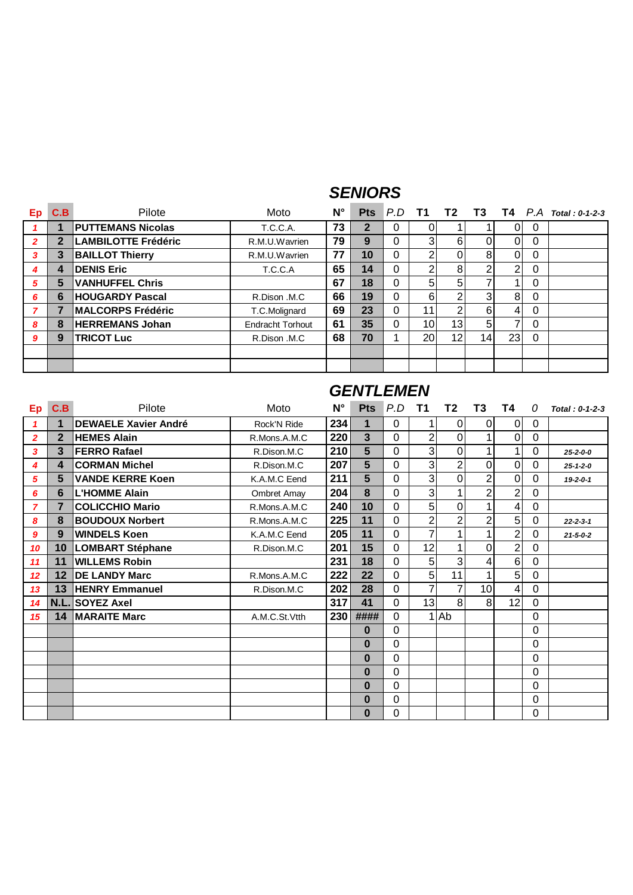#### *SENIORS*

| <b>Ep</b>      | C.B | Pilote                     | Moto                    | $N^{\circ}$ |              |          |    |    |                 |                          |              | Pts P.D T1 T2 T3 T4 P.A Total: 0-1-2-3 |
|----------------|-----|----------------------------|-------------------------|-------------|--------------|----------|----|----|-----------------|--------------------------|--------------|----------------------------------------|
|                |     | <b>PUTTEMANS Nicolas</b>   | <b>T.C.C.A.</b>         | 73          | $\mathbf{2}$ | 0        | 0  |    |                 |                          | 0            |                                        |
| $\overline{2}$ |     | <b>LAMBILOTTE Frédéric</b> | R.M.U.Wavrien           | 79          | 9            | 0        | 3  | 6  |                 | 0                        | 0            |                                        |
| 3              | 3   | <b>BAILLOT Thierry</b>     | R.M.U.Wavrien           | 77          | 10           | 0        | 2  |    | 8               | $\Omega$                 | 0            |                                        |
| 4              | 4   | <b>DENIS Eric</b>          | T.C.C.A                 | 65          | 14           | $\Omega$ | 2  | 8  | 2               | $\overline{2}$           | 0            |                                        |
| 5              | 5   | <b>VANHUFFEL Chris</b>     |                         | 67          | 18           | 0        | 5  | 5  |                 |                          | $\mathbf{0}$ |                                        |
| 6              | 6   | <b>HOUGARDY Pascal</b>     | R.Dison .M.C            | 66          | 19           | 0        | 6  | ◠  | 3               | 8                        | $\Omega$     |                                        |
|                |     | <b>MALCORPS Frédéric</b>   | T.C.Molignard           | 69          | 23           | 0        | 11 | ົ  | 6               | $\overline{4}$           | $\Omega$     |                                        |
| 8              | 8   | <b>HERREMANS Johan</b>     | <b>Endracht Torhout</b> | 61          | 35           | 0        | 10 | 13 | 5               | $\overline{\phantom{a}}$ | $\Omega$     |                                        |
| 9              | 9   | <b>TRICOT Luc</b>          | R.Dison .M.C            | 68          | 70           |          | 20 | 12 | 14 <sub>1</sub> | 23                       | $\Omega$     |                                        |
|                |     |                            |                         |             |              |          |    |    |                 |                          |              |                                        |
|                |     |                            |                         |             |              |          |    |    |                 |                          |              |                                        |

| Ep              | C.B          | Pilote                      | Moto          | N°  | <b>Pts</b> | P.D         | <b>T1</b>      | T2             | T3              | Τ4             | 0           | $Total: 0-1-2-3$ |
|-----------------|--------------|-----------------------------|---------------|-----|------------|-------------|----------------|----------------|-----------------|----------------|-------------|------------------|
| $\mathbf{1}$    |              | <b>DEWAELE Xavier André</b> | Rock'N Ride   | 234 | 1          | $\Omega$    |                | 0              | $\overline{0}$  | 0              | 0           |                  |
| $\overline{2}$  | $\mathbf{2}$ | <b>HEMES Alain</b>          | R.Mons.A.M.C  | 220 | 3          | 0           | $\overline{2}$ | 0              |                 | 0              | $\mathbf 0$ |                  |
| 3               | 3            | <b>FERRO Rafael</b>         | R.Dison.M.C   | 210 | 5          | $\Omega$    | 3              | $\Omega$       |                 | 1              | 0           | $25 - 2 - 0 - 0$ |
| 4               | 4            | <b>CORMAN Michel</b>        | R.Dison.M.C   | 207 | 5          | 0           | 3              | $\overline{2}$ | $\mathbf 0$     | 0              | 0           | $25 - 1 - 2 - 0$ |
| 5               | 5            | <b>VANDE KERRE Koen</b>     | K.A.M.C Eend  | 211 | 5          | 0           | 3              | 0              | $\overline{2}$  | 0              | 0           | $19 - 2 - 0 - 1$ |
| 6               | 6            | <b>IL'HOMME Alain</b>       | Ombret Amay   | 204 | 8          | 0           | 3              |                | $\overline{2}$  | 2              | 0           |                  |
| $\overline{ }$  | 7            | <b>COLICCHIO Mario</b>      | R.Mons.A.M.C  | 240 | 10         | $\Omega$    | 5              | 0              |                 | 4              | 0           |                  |
| 8               | 8            | <b>BOUDOUX Norbert</b>      | R.Mons.A.M.C  | 225 | 11         | $\Omega$    | $\overline{2}$ | $\overline{2}$ | $\overline{2}$  | 5              | 0           | $22 - 2 - 3 - 1$ |
| 9               | 9            | <b>WINDELS Koen</b>         | K.A.M.C Eend  | 205 | 11         | $\mathbf 0$ |                |                |                 | $\overline{c}$ | 0           | $21 - 5 - 0 - 2$ |
| 10              | 10           | <b>LOMBART Stéphane</b>     | R.Dison.M.C   | 201 | 15         | 0           | 12             |                | 0               | $\overline{2}$ | 0           |                  |
| 11              | 11           | <b>WILLEMS Robin</b>        |               | 231 | 18         | $\Omega$    | 5              | 3              | 4               | 6              | $\mathbf 0$ |                  |
| 12 <sup>2</sup> | 12           | <b>DE LANDY Marc</b>        | R.Mons.A.M.C  | 222 | 22         | $\Omega$    | 5              | 11             |                 | 5              | 0           |                  |
| 13              | 13           | <b>HENRY Emmanuel</b>       | R.Dison.M.C   | 202 | 28         | $\mathbf 0$ | 7              | 7              | 10 <sub>1</sub> | 4              | $\mathbf 0$ |                  |
| 14              |              | N.L. SOYEZ Axel             |               | 317 | 41         | 0           | 13             | 8              | 8               | 12             | 0           |                  |
| 15              | 14           | <b>MARAITE Marc</b>         | A.M.C.St.Vtth | 230 | ####       | $\Omega$    |                | 1 Ab           |                 |                | 0           |                  |
|                 |              |                             |               |     | $\bf{0}$   | 0           |                |                |                 |                | 0           |                  |
|                 |              |                             |               |     | $\bf{0}$   | 0           |                |                |                 |                | 0           |                  |
|                 |              |                             |               |     | $\bf{0}$   | $\Omega$    |                |                |                 |                | 0           |                  |
|                 |              |                             |               |     | $\bf{0}$   | 0           |                |                |                 |                | 0           |                  |
|                 |              |                             |               |     | $\bf{0}$   | $\Omega$    |                |                |                 |                | 0           |                  |
|                 |              |                             |               |     | $\bf{0}$   | 0           |                |                |                 |                | 0           |                  |
|                 |              |                             |               |     | $\bf{0}$   | 0           |                |                |                 |                | 0           |                  |